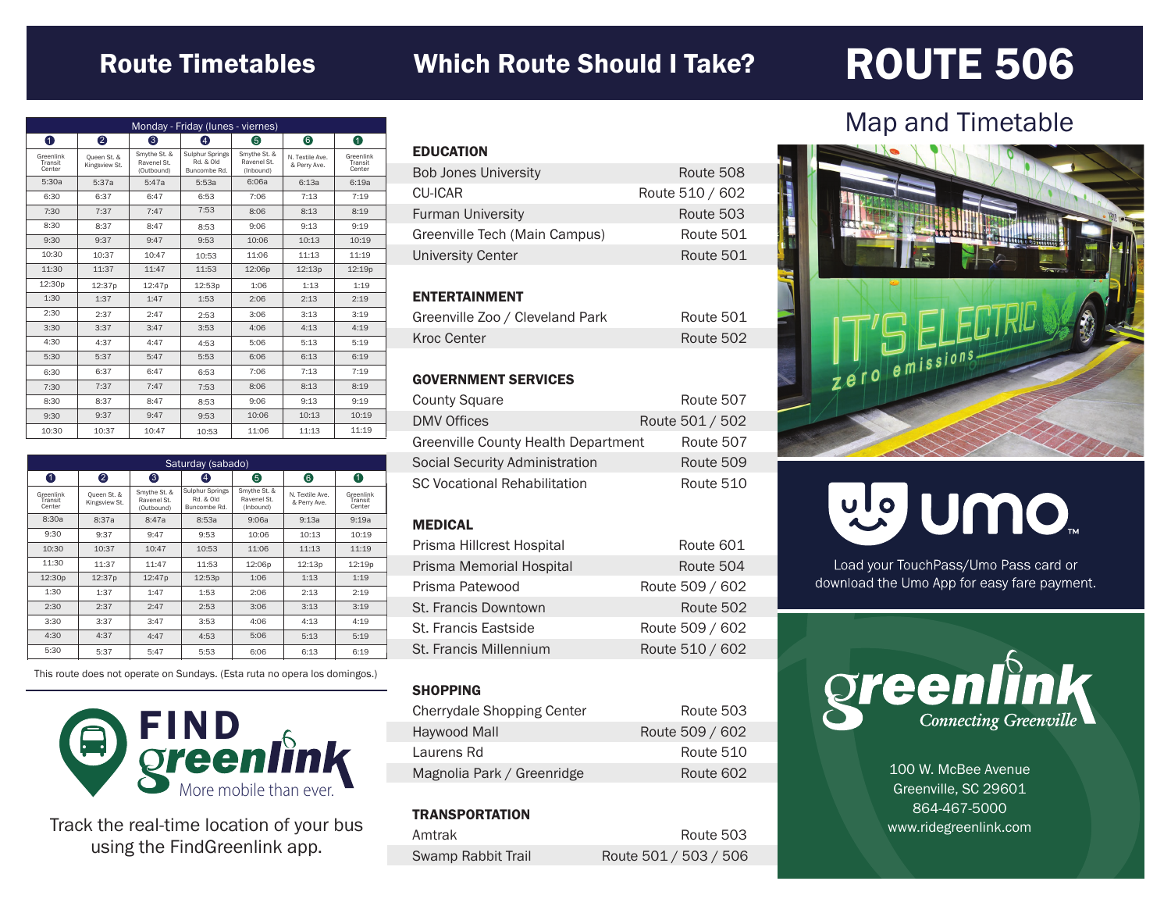### Route Timetables Which Route Should I Take?

## ROUTE 506

| Monday - Friday (lunes - viernes) |                              |                                           |                                                     |                                          |                                 |                                |
|-----------------------------------|------------------------------|-------------------------------------------|-----------------------------------------------------|------------------------------------------|---------------------------------|--------------------------------|
| $\bullet$                         | 2                            | 6                                         | 4                                                   | 6                                        | 6                               | 0                              |
| Greenlink<br>Transit<br>Center    | Oueen St. &<br>Kingsview St. | Smythe St. &<br>Ravenel St.<br>(Outbound) | <b>Sulphur Springs</b><br>Rd. & Old<br>Buncombe Rd. | Smythe St. &<br>Ravenel St.<br>(Inbound) | N. Textile Ave.<br>& Perry Ave. | Greenlink<br>Transit<br>Center |
| 5:30a                             | 5:37a                        | 5:47a                                     | 5:53a                                               | 6:06a                                    | 6:13a                           | 6:19a                          |
| 6:30                              | 6:37                         | 6:47                                      | 6:53                                                | 7:06                                     | 7:13                            | 7:19                           |
| 7:30                              | 7:37                         | 7:47                                      | 7:53                                                | 8:06                                     | 8:13                            | 8:19                           |
| 8:30                              | 8:37                         | 8:47                                      | 8:53                                                | 9:06                                     | 9:13                            | 9:19                           |
| 9:30                              | 9:37                         | 9:47                                      | 9:53                                                | 10:06                                    | 10:13                           | 10:19                          |
| 10:30                             | 10:37                        | 10:47                                     | 10:53                                               | 11:06                                    | 11:13                           | 11:19                          |
| 11:30                             | 11:37                        | 11:47                                     | 11:53                                               | 12:06p                                   | 12:13p                          | 12:19p                         |
| 12:30p                            | 12:37p                       | 12:47p                                    | 12:53p                                              | 1:06                                     | 1:13                            | 1:19                           |
| 1:30                              | 1:37                         | 1:47                                      | 1:53                                                | 2:06                                     | 2:13                            | 2:19                           |
| 2:30                              | 2:37                         | 2:47                                      | 2:53                                                | 3:06                                     | 3:13                            | 3:19                           |
| 3:30                              | 3:37                         | 3:47                                      | 3:53                                                | 4:06                                     | 4:13                            | 4:19                           |
| 4:30                              | 4:37                         | 4:47                                      | 4:53                                                | 5:06                                     | 5:13                            | 5:19                           |
| 5:30                              | 5:37                         | 5:47                                      | 5:53                                                | 6:06                                     | 6:13                            | 6:19                           |
| 6:30                              | 6:37                         | 6:47                                      | 6:53                                                | 7:06                                     | 7:13                            | 7:19                           |
| 7:30                              | 7:37                         | 7:47                                      | 7:53                                                | 8:06                                     | 8:13                            | 8:19                           |
| 8:30                              | 8:37                         | 8:47                                      | 8:53                                                | 9:06                                     | 9:13                            | 9:19                           |
| 9:30                              | 9:37                         | 9:47                                      | 9:53                                                | 10:06                                    | 10:13                           | 10:19                          |
| 10:30                             | 10:37                        | 10:47                                     | 10:53                                               | 11:06                                    | 11:13                           | 11:19                          |

| Saturday (sabado)              |                              |                                           |                                              |                                          |                                 |                                |
|--------------------------------|------------------------------|-------------------------------------------|----------------------------------------------|------------------------------------------|---------------------------------|--------------------------------|
| 0                              | 2                            | ❸                                         | 4                                            | 6                                        | 6                               | 0                              |
| Greenlink<br>Transit<br>Center | Oueen St. &<br>Kingsview St. | Smythe St. &<br>Ravenel St.<br>(Outbound) | Sulphur Springs<br>Rd. & Old<br>Buncombe Rd. | Smythe St. &<br>Ravenel St.<br>(Inbound) | N. Textile Ave.<br>& Perry Ave. | Greenlink<br>Transit<br>Center |
| 8:30a                          | 8:37a                        | 8:47a                                     | 8:53a                                        | 9:06a                                    | 9:13a                           | 9:19a                          |
| 9:30                           | 9:37                         | 9:47                                      | 9:53                                         | 10:06                                    | 10:13                           | 10:19                          |
| 10:30                          | 10:37                        | 10:47                                     | 10:53                                        | 11:06                                    | 11:13                           | 11:19                          |
| 11:30                          | 11:37                        | 11:47                                     | 11:53                                        | 12:06p                                   | 12:13p                          | 12:19p                         |
| 12:30p                         | 12:37p                       | 12:47p                                    | 12:53p                                       | 1:06                                     | 1:13                            | 1:19                           |
| 1:30                           | 1:37                         | 1:47                                      | 1:53                                         | 2:06                                     | 2:13                            | 2:19                           |
| 2:30                           | 2:37                         | 2:47                                      | 2:53                                         | 3:06                                     | 3:13                            | 3:19                           |
| 3:30                           | 3:37                         | 3:47                                      | 3:53                                         | 4:06                                     | 4:13                            | 4:19                           |
| 4:30                           | 4:37                         | 4:47                                      | 4:53                                         | 5:06                                     | 5:13                            | 5:19                           |
| 5:30                           | 5:37                         | 5:47                                      | 5:53                                         | 6:06                                     | 6:13                            | 6:19                           |

This route does not operate on Sundays. (Esta ruta no opera los domingos.)



Track the real-time location of your bus using the FindGreenlink app.

| <b>EDUCATION</b>              |                 |
|-------------------------------|-----------------|
| <b>Bob Jones University</b>   | Route 508       |
| CU-ICAR                       | Route 510 / 602 |
| <b>Furman University</b>      | Route 503       |
| Greenville Tech (Main Campus) | Route 501       |
| <b>University Center</b>      | Route 501       |
|                               |                 |

#### ENTERTAINMENT

| Greenville Zoo / Cleveland Park | Route 501 |
|---------------------------------|-----------|
| Kroc Center                     | Route 502 |

#### GOVERNMENT SERVICES

| <b>County Square</b>                | Route 507       |
|-------------------------------------|-----------------|
| <b>DMV Offices</b>                  | Route 501 / 502 |
| Greenville County Health Department | Route 507       |
| Social Security Administration      | Route 509       |
| <b>SC Vocational Rehabilitation</b> | Route 510       |

#### MEDICAL

| Route 601       |
|-----------------|
| Route 504       |
| Route 509 / 602 |
| Route 502       |
| Route 509 / 602 |
| Route 510 / 602 |
|                 |

#### **SHOPPING**

| Cherrydale Shopping Center | Route 503       |
|----------------------------|-----------------|
| Haywood Mall               | Route 509 / 602 |
| Laurens Rd                 | Route 510       |
| Magnolia Park / Greenridge | Route 602       |

#### **TRANSPORTATION**

| Amtrak             | Route 503             |
|--------------------|-----------------------|
| Swamp Rabbit Trail | Route 501 / 503 / 506 |

### Map and Timetable



# mo nulle

Load your TouchPass/Umo Pass card or download the Umo App for easy fare payment.



100 W. McBee Avenue Greenville, SC 29601 864-467-5000 www.ridegreenlink.com